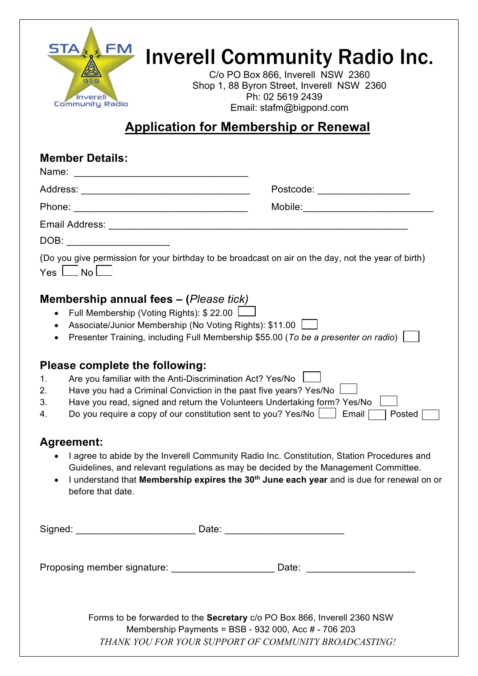

# Inverell Community Radio Inc.

C/o PO Box 866, Inverell NSW 2360 Shop 1, 88 Byron Street, Inverell NSW 2360 Ph: 02 5619 2439 Email: stafm@bigpond.com

# **Application for Membership or Renewal**

## **Member Details:**

| Name:<br><u> 1980 - Jan Barbara, mandatar masjid a shekara ta 1980 a shekara ta 1980 a shekara ta 1980 a shekara ta 1980 a</u>                                                             |                                                                                                     |
|--------------------------------------------------------------------------------------------------------------------------------------------------------------------------------------------|-----------------------------------------------------------------------------------------------------|
|                                                                                                                                                                                            | Postcode: _________________                                                                         |
|                                                                                                                                                                                            |                                                                                                     |
|                                                                                                                                                                                            |                                                                                                     |
|                                                                                                                                                                                            |                                                                                                     |
| $Yes \Box No \Box$                                                                                                                                                                         | (Do you give permission for your birthday to be broadcast on air on the day, not the year of birth) |
| <b>Membership annual fees - (Please tick)</b><br>• Full Membership (Voting Rights): $$22.00$ $\Box$<br>Associate/Junior Membership (No Voting Rights): \$11.00 \<br>$\bullet$<br>$\bullet$ | Presenter Training, including Full Membership \$55.00 (To be a presenter on radio)                  |
| Please complete the following:                                                                                                                                                             |                                                                                                     |
| 1 Are vou familiar with the Anti-Discrimination Act 2 Ves/No                                                                                                                               |                                                                                                     |

- 1. Are you familiar with the Anti-Discrimination Act? Yes/No
- 2. Have you had a Criminal Conviction in the past five years? Yes/No  $\,$  L 3. Have you read, signed and return the Volunteers Undertaking form? Yes/No |
- 4. Do you require a copy of our constitution sent to you? Yes/No  $\vert$  Email  $\vert$  Posted [

## **Agreement:**

- I agree to abide by the Inverell Community Radio Inc. Constitution, Station Procedures and Guidelines, and relevant regulations as may be decided by the Management Committee.
- I understand that **Membership expires the 30th June each year** and is due for renewal on or before that date.

| Signed: | _ _ _<br>Jalu<br>$ -$ |
|---------|-----------------------|
|         |                       |

Proposing member signature: example and the Date:

Forms to be forwarded to the **Secretary** c/o PO Box 866, Inverell 2360 NSW Membership Payments = BSB - 932 000, Acc # - 706 203 *THANK YOU FOR YOUR SUPPORT OF COMMUNITY BROADCASTING!*